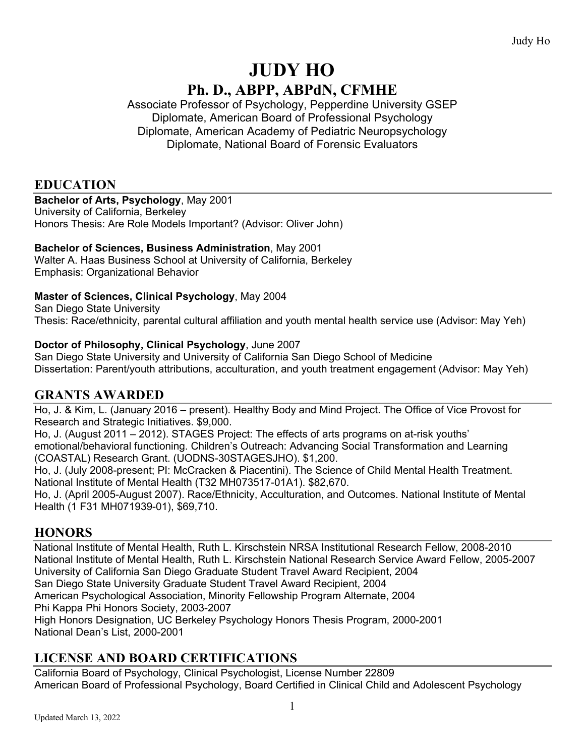# **JUDY HO Ph. D., ABPP, ABPdN, CFMHE**

Associate Professor of Psychology, Pepperdine University GSEP Diplomate, American Board of Professional Psychology Diplomate, American Academy of Pediatric Neuropsychology Diplomate, National Board of Forensic Evaluators

## **EDUCATION**

### **Bachelor of Arts, Psychology**, May 2001

University of California, Berkeley Honors Thesis: Are Role Models Important? (Advisor: Oliver John)

### **Bachelor of Sciences, Business Administration**, May 2001

Walter A. Haas Business School at University of California, Berkeley Emphasis: Organizational Behavior

### **Master of Sciences, Clinical Psychology**, May 2004

San Diego State University Thesis: Race/ethnicity, parental cultural affiliation and youth mental health service use (Advisor: May Yeh)

### **Doctor of Philosophy, Clinical Psychology**, June 2007

San Diego State University and University of California San Diego School of Medicine Dissertation: Parent/youth attributions, acculturation, and youth treatment engagement (Advisor: May Yeh)

## **GRANTS AWARDED**

Ho, J. & Kim, L. (January 2016 – present). Healthy Body and Mind Project. The Office of Vice Provost for Research and Strategic Initiatives. \$9,000.

Ho, J. (August 2011 – 2012). STAGES Project: The effects of arts programs on at-risk youths' emotional/behavioral functioning. Children's Outreach: Advancing Social Transformation and Learning (COASTAL) Research Grant. (UODNS-30STAGESJHO). \$1,200.

Ho, J. (July 2008-present; PI: McCracken & Piacentini). The Science of Child Mental Health Treatment. National Institute of Mental Health (T32 MH073517-01A1). \$82,670.

Ho, J. (April 2005-August 2007). Race/Ethnicity, Acculturation, and Outcomes. National Institute of Mental Health (1 F31 MH071939-01), \$69,710.

## **HONORS**

National Institute of Mental Health, Ruth L. Kirschstein NRSA Institutional Research Fellow, 2008-2010 National Institute of Mental Health, Ruth L. Kirschstein National Research Service Award Fellow, 2005-2007 University of California San Diego Graduate Student Travel Award Recipient, 2004 San Diego State University Graduate Student Travel Award Recipient, 2004 American Psychological Association, Minority Fellowship Program Alternate, 2004 Phi Kappa Phi Honors Society, 2003-2007 High Honors Designation, UC Berkeley Psychology Honors Thesis Program, 2000-2001 National Dean's List, 2000-2001

## **LICENSE AND BOARD CERTIFICATIONS**

California Board of Psychology, Clinical Psychologist, License Number 22809 American Board of Professional Psychology, Board Certified in Clinical Child and Adolescent Psychology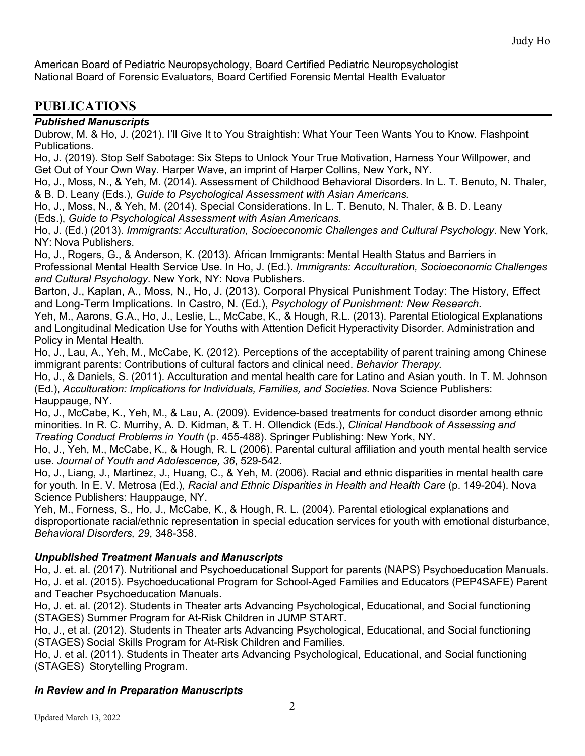American Board of Pediatric Neuropsychology, Board Certified Pediatric Neuropsychologist National Board of Forensic Evaluators, Board Certified Forensic Mental Health Evaluator

### **PUBLICATIONS**

*Published Manuscripts*

Dubrow, M. & Ho, J. (2021). I'll Give It to You Straightish: What Your Teen Wants You to Know. Flashpoint Publications.

Ho, J. (2019). Stop Self Sabotage: Six Steps to Unlock Your True Motivation, Harness Your Willpower, and Get Out of Your Own Way. Harper Wave, an imprint of Harper Collins, New York, NY.

Ho, J., Moss, N., & Yeh, M. (2014). Assessment of Childhood Behavioral Disorders. In L. T. Benuto, N. Thaler, & B. D. Leany (Eds.), *Guide to Psychological Assessment with Asian Americans.*

Ho, J., Moss, N., & Yeh, M. (2014). Special Considerations. In L. T. Benuto, N. Thaler, & B. D. Leany (Eds.), *Guide to Psychological Assessment with Asian Americans.*

Ho, J. (Ed.) (2013). *Immigrants: Acculturation, Socioeconomic Challenges and Cultural Psychology*. New York, NY: Nova Publishers.

Ho, J., Rogers, G., & Anderson, K. (2013). African Immigrants: Mental Health Status and Barriers in Professional Mental Health Service Use. In Ho, J. (Ed.). *Immigrants: Acculturation, Socioeconomic Challenges and Cultural Psychology*. New York, NY: Nova Publishers.

Barton, J., Kaplan, A., Moss, N., Ho, J. (2013). Corporal Physical Punishment Today: The History, Effect and Long-Term Implications. In Castro, N. (Ed.), *Psychology of Punishment: New Research.*

Yeh, M., Aarons, G.A., Ho, J., Leslie, L., McCabe, K., & Hough, R.L. (2013). Parental Etiological Explanations and Longitudinal Medication Use for Youths with Attention Deficit Hyperactivity Disorder. Administration and Policy in Mental Health.

Ho, J., Lau, A., Yeh, M., McCabe, K. (2012). Perceptions of the acceptability of parent training among Chinese immigrant parents: Contributions of cultural factors and clinical need. *Behavior Therapy.*

Ho, J., & Daniels, S. (2011). Acculturation and mental health care for Latino and Asian youth. In T. M. Johnson (Ed.), *Acculturation: Implications for Individuals, Families, and Societies.* Nova Science Publishers: Hauppauge, NY.

Ho, J., McCabe, K., Yeh, M., & Lau, A. (2009). Evidence-based treatments for conduct disorder among ethnic minorities. In R. C. Murrihy, A. D. Kidman, & T. H. Ollendick (Eds.), *Clinical Handbook of Assessing and Treating Conduct Problems in Youth* (p. 455-488). Springer Publishing: New York, NY.

Ho, J., Yeh, M., McCabe, K., & Hough, R. L (2006). Parental cultural affiliation and youth mental health service use. *Journal of Youth and Adolescence, 36*, 529-542.

Ho, J., Liang, J., Martinez, J., Huang, C., & Yeh, M. (2006). Racial and ethnic disparities in mental health care for youth. In E. V. Metrosa (Ed.), *Racial and Ethnic Disparities in Health and Health Care* (p. 149-204). Nova Science Publishers: Hauppauge, NY.

Yeh, M., Forness, S., Ho, J., McCabe, K., & Hough, R. L. (2004). Parental etiological explanations and disproportionate racial/ethnic representation in special education services for youth with emotional disturbance, *Behavioral Disorders, 29*, 348-358.

### *Unpublished Treatment Manuals and Manuscripts*

Ho, J. et. al. (2017). Nutritional and Psychoeducational Support for parents (NAPS) Psychoeducation Manuals. Ho, J. et al. (2015). Psychoeducational Program for School-Aged Families and Educators (PEP4SAFE) Parent and Teacher Psychoeducation Manuals.

Ho, J. et. al. (2012). Students in Theater arts Advancing Psychological, Educational, and Social functioning (STAGES) Summer Program for At-Risk Children in JUMP START.

Ho, J., et al. (2012). Students in Theater arts Advancing Psychological, Educational, and Social functioning (STAGES) Social Skills Program for At-Risk Children and Families.

Ho, J. et al. (2011). Students in Theater arts Advancing Psychological, Educational, and Social functioning (STAGES) Storytelling Program.

### *In Review and In Preparation Manuscripts*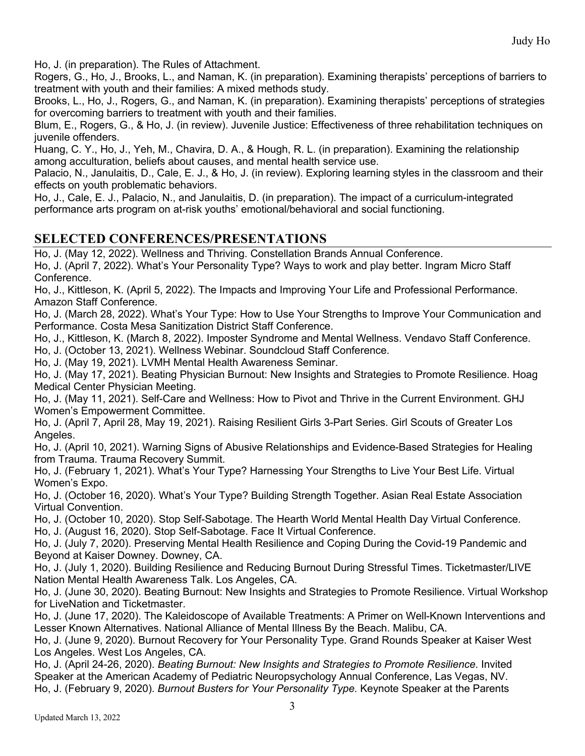Ho, J. (in preparation). The Rules of Attachment.

Rogers, G., Ho, J., Brooks, L., and Naman, K. (in preparation). Examining therapists' perceptions of barriers to treatment with youth and their families: A mixed methods study.

Brooks, L., Ho, J., Rogers, G., and Naman, K. (in preparation). Examining therapists' perceptions of strategies for overcoming barriers to treatment with youth and their families.

Blum, E., Rogers, G., & Ho, J. (in review). Juvenile Justice: Effectiveness of three rehabilitation techniques on juvenile offenders.

Huang, C. Y., Ho, J., Yeh, M., Chavira, D. A., & Hough, R. L. (in preparation). Examining the relationship among acculturation, beliefs about causes, and mental health service use.

Palacio, N., Janulaitis, D., Cale, E. J., & Ho, J. (in review). Exploring learning styles in the classroom and their effects on youth problematic behaviors.

Ho, J., Cale, E. J., Palacio, N., and Janulaitis, D. (in preparation). The impact of a curriculum-integrated performance arts program on at-risk youths' emotional/behavioral and social functioning.

### **SELECTED CONFERENCES/PRESENTATIONS**

Ho, J. (May 12, 2022). Wellness and Thriving. Constellation Brands Annual Conference.

Ho, J. (April 7, 2022). What's Your Personality Type? Ways to work and play better. Ingram Micro Staff Conference.

Ho, J., Kittleson, K. (April 5, 2022). The Impacts and Improving Your Life and Professional Performance. Amazon Staff Conference.

Ho, J. (March 28, 2022). What's Your Type: How to Use Your Strengths to Improve Your Communication and Performance. Costa Mesa Sanitization District Staff Conference.

Ho, J., Kittleson, K. (March 8, 2022). Imposter Syndrome and Mental Wellness. Vendavo Staff Conference.

Ho, J. (October 13, 2021). Wellness Webinar. Soundcloud Staff Conference.

Ho, J. (May 19, 2021). LVMH Mental Health Awareness Seminar.

Ho, J. (May 17, 2021). Beating Physician Burnout: New Insights and Strategies to Promote Resilience. Hoag Medical Center Physician Meeting.

Ho, J. (May 11, 2021). Self-Care and Wellness: How to Pivot and Thrive in the Current Environment. GHJ Women's Empowerment Committee.

Ho, J. (April 7, April 28, May 19, 2021). Raising Resilient Girls 3-Part Series. Girl Scouts of Greater Los Angeles.

Ho, J. (April 10, 2021). Warning Signs of Abusive Relationships and Evidence-Based Strategies for Healing from Trauma. Trauma Recovery Summit.

Ho, J. (February 1, 2021). What's Your Type? Harnessing Your Strengths to Live Your Best Life. Virtual Women's Expo.

Ho, J. (October 16, 2020). What's Your Type? Building Strength Together. Asian Real Estate Association Virtual Convention.

Ho, J. (October 10, 2020). Stop Self-Sabotage. The Hearth World Mental Health Day Virtual Conference.

Ho, J. (August 16, 2020). Stop Self-Sabotage. Face It Virtual Conference.

Ho, J. (July 7, 2020). Preserving Mental Health Resilience and Coping During the Covid-19 Pandemic and Beyond at Kaiser Downey. Downey, CA.

Ho, J. (July 1, 2020). Building Resilience and Reducing Burnout During Stressful Times. Ticketmaster/LIVE Nation Mental Health Awareness Talk. Los Angeles, CA.

Ho, J. (June 30, 2020). Beating Burnout: New Insights and Strategies to Promote Resilience. Virtual Workshop for LiveNation and Ticketmaster.

Ho, J. (June 17, 2020). The Kaleidoscope of Available Treatments: A Primer on Well-Known Interventions and Lesser Known Alternatives. National Alliance of Mental Illness By the Beach. Malibu, CA.

Ho, J. (June 9, 2020). Burnout Recovery for Your Personality Type. Grand Rounds Speaker at Kaiser West Los Angeles. West Los Angeles, CA.

Ho, J. (April 24-26, 2020). *Beating Burnout: New Insights and Strategies to Promote Resilience*. Invited Speaker at the American Academy of Pediatric Neuropsychology Annual Conference, Las Vegas, NV. Ho, J. (February 9, 2020). *Burnout Busters for Your Personality Type*. Keynote Speaker at the Parents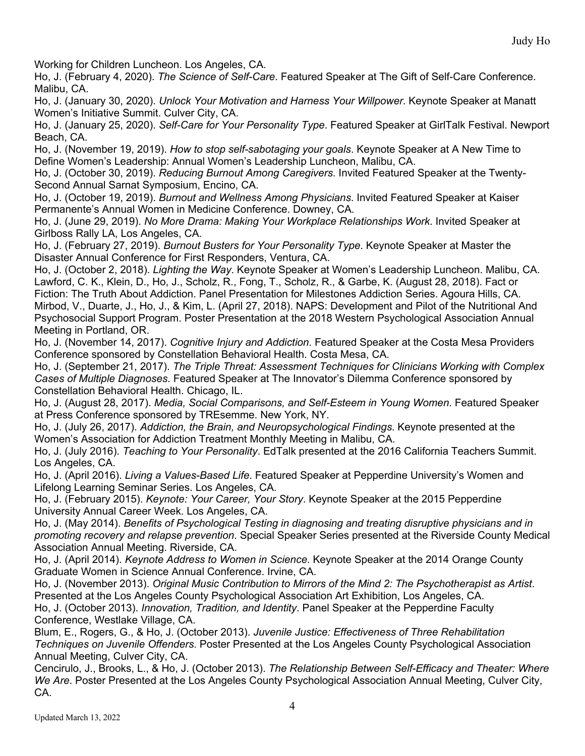Working for Children Luncheon. Los Angeles, CA.

Ho, J. (February 4, 2020). *The Science of Self-Care*. Featured Speaker at The Gift of Self-Care Conference. Malibu, CA.

Ho, J. (January 30, 2020). *Unlock Your Motivation and Harness Your Willpower*. Keynote Speaker at Manatt Women's Initiative Summit. Culver City, CA.

Ho, J. (January 25, 2020). *Self-Care for Your Personality Type*. Featured Speaker at GirlTalk Festival. Newport Beach, CA.

Ho, J. (November 19, 2019). *How to stop self-sabotaging your goals*. Keynote Speaker at A New Time to Define Women's Leadership: Annual Women's Leadership Luncheon, Malibu, CA.

Ho, J. (October 30, 2019). *Reducing Burnout Among Caregivers*. Invited Featured Speaker at the Twenty-Second Annual Sarnat Symposium, Encino, CA.

Ho, J. (October 19, 2019). *Burnout and Wellness Among Physicians*. Invited Featured Speaker at Kaiser Permanente's Annual Women in Medicine Conference. Downey, CA.

Ho, J. (June 29, 2019). *No More Drama: Making Your Workplace Relationships Work*. Invited Speaker at Girlboss Rally LA, Los Angeles, CA.

Ho, J. (February 27, 2019). *Burnout Busters for Your Personality Type*. Keynote Speaker at Master the Disaster Annual Conference for First Responders, Ventura, CA.

Ho, J. (October 2, 2018). *Lighting the Way*. Keynote Speaker at Women's Leadership Luncheon. Malibu, CA. Lawford, C. K., Klein, D., Ho, J., Scholz, R., Fong, T., Scholz, R., & Garbe, K. (August 28, 2018). Fact or Fiction: The Truth About Addiction. Panel Presentation for Milestones Addiction Series. Agoura Hills, CA. Mirbod, V., Duarte, J., Ho, J., & Kim, L. (April 27, 2018). NAPS: Development and Pilot of the Nutritional And Psychosocial Support Program. Poster Presentation at the 2018 Western Psychological Association Annual Meeting in Portland, OR.

Ho, J. (November 14, 2017). *Cognitive Injury and Addiction*. Featured Speaker at the Costa Mesa Providers Conference sponsored by Constellation Behavioral Health. Costa Mesa, CA.

Ho, J. (September 21, 2017). *The Triple Threat: Assessment Techniques for Clinicians Working with Complex Cases of Multiple Diagnoses*. Featured Speaker at The Innovator's Dilemma Conference sponsored by Constellation Behavioral Health. Chicago, IL.

Ho, J. (August 28, 2017). *Media, Social Comparisons, and Self-Esteem in Young Women*. Featured Speaker at Press Conference sponsored by TREsemme. New York, NY.

Ho, J. (July 26, 2017). *Addiction, the Brain, and Neuropsychological Findings*. Keynote presented at the Women's Association for Addiction Treatment Monthly Meeting in Malibu, CA.

Ho, J. (July 2016). *Teaching to Your Personality*. EdTalk presented at the 2016 California Teachers Summit. Los Angeles, CA.

Ho, J. (April 2016). *Living a Values-Based Life*. Featured Speaker at Pepperdine University's Women and Lifelong Learning Seminar Series. Los Angeles, CA.

Ho, J. (February 2015). *Keynote: Your Career, Your Story*. Keynote Speaker at the 2015 Pepperdine University Annual Career Week. Los Angeles, CA.

Ho, J. (May 2014). *Benefits of Psychological Testing in diagnosing and treating disruptive physicians and in promoting recovery and relapse prevention*. Special Speaker Series presented at the Riverside County Medical Association Annual Meeting. Riverside, CA.

Ho, J. (April 2014). *Keynote Address to Women in Science*. Keynote Speaker at the 2014 Orange County Graduate Women in Science Annual Conference. Irvine, CA.

Ho, J. (November 2013). *Original Music Contribution to Mirrors of the Mind 2: The Psychotherapist as Artist*. Presented at the Los Angeles County Psychological Association Art Exhibition, Los Angeles, CA. Ho, J. (October 2013). *Innovation, Tradition, and Identity*. Panel Speaker at the Pepperdine Faculty Conference, Westlake Village, CA.

Blum, E., Rogers, G., & Ho, J. (October 2013). *Juvenile Justice: Effectiveness of Three Rehabilitation Techniques on Juvenile Offenders*. Poster Presented at the Los Angeles County Psychological Association Annual Meeting, Culver City, CA.

Cencirulo, J., Brooks, L., & Ho, J. (October 2013). *The Relationship Between Self-Efficacy and Theater: Where We Are*. Poster Presented at the Los Angeles County Psychological Association Annual Meeting, Culver City, CA.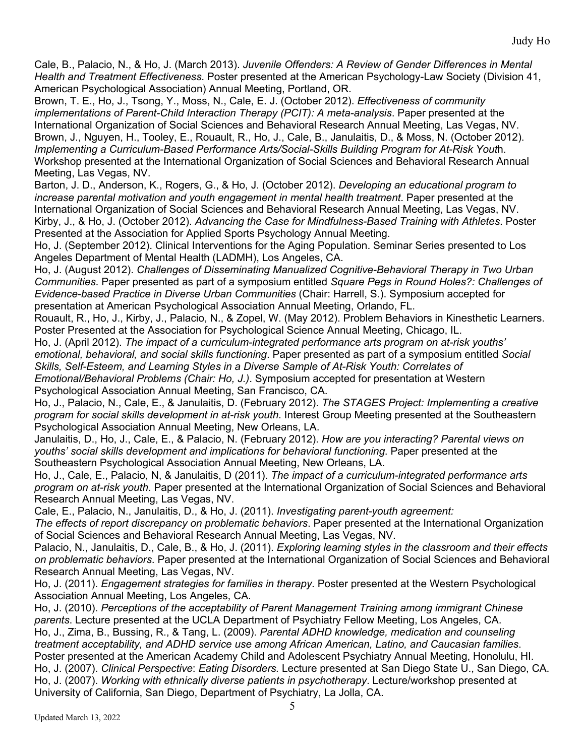Cale, B., Palacio, N., & Ho, J. (March 2013). *Juvenile Offenders: A Review of Gender Differences in Mental Health and Treatment Effectiveness*. Poster presented at the American Psychology-Law Society (Division 41, American Psychological Association) Annual Meeting, Portland, OR.

Brown, T. E., Ho, J., Tsong, Y., Moss, N., Cale, E. J. (October 2012). *Effectiveness of community implementations of Parent-Child Interaction Therapy (PCIT): A meta-analysis*. Paper presented at the International Organization of Social Sciences and Behavioral Research Annual Meeting, Las Vegas, NV. Brown, J., Nguyen, H., Tooley, E., Rouault, R., Ho, J., Cale, B., Janulaitis, D., & Moss, N. (October 2012). *Implementing a Curriculum-Based Performance Arts/Social-Skills Building Program for At-Risk Yout*h. Workshop presented at the International Organization of Social Sciences and Behavioral Research Annual Meeting, Las Vegas, NV.

Barton, J. D., Anderson, K., Rogers, G., & Ho, J. (October 2012). *Developing an educational program to increase parental motivation and youth engagement in mental health treatment*. Paper presented at the International Organization of Social Sciences and Behavioral Research Annual Meeting, Las Vegas, NV. Kirby, J., & Ho, J. (October 2012). *Advancing the Case for Mindfulness-Based Training with Athletes*. Poster Presented at the Association for Applied Sports Psychology Annual Meeting.

Ho, J. (September 2012). Clinical Interventions for the Aging Population. Seminar Series presented to Los Angeles Department of Mental Health (LADMH), Los Angeles, CA.

Ho, J. (August 2012). *Challenges of Disseminating Manualized Cognitive-Behavioral Therapy in Two Urban Communities*. Paper presented as part of a symposium entitled *Square Pegs in Round Holes?: Challenges of Evidence-based Practice in Diverse Urban Communities* (Chair: Harrell, S.). Symposium accepted for presentation at American Psychological Association Annual Meeting, Orlando, FL.

Rouault, R., Ho, J., Kirby, J., Palacio, N., & Zopel, W. (May 2012). Problem Behaviors in Kinesthetic Learners. Poster Presented at the Association for Psychological Science Annual Meeting, Chicago, IL.

Ho, J. (April 2012). *The impact of a curriculum-integrated performance arts program on at-risk youths' emotional, behavioral, and social skills functioning*. Paper presented as part of a symposium entitled *Social Skills, Self-Esteem, and Learning Styles in a Diverse Sample of At-Risk Youth: Correlates of Emotional/Behavioral Problems (Chair: Ho, J.)*. Symposium accepted for presentation at Western Psychological Association Annual Meeting, San Francisco, CA.

Ho, J., Palacio, N., Cale, E., & Janulaitis, D. (February 2012). *The STAGES Project: Implementing a creative program for social skills development in at-risk youth*. Interest Group Meeting presented at the Southeastern Psychological Association Annual Meeting, New Orleans, LA.

Janulaitis, D., Ho, J., Cale, E., & Palacio, N. (February 2012). *How are you interacting? Parental views on youths' social skills development and implications for behavioral functioning*. Paper presented at the Southeastern Psychological Association Annual Meeting, New Orleans, LA.

Ho, J., Cale, E., Palacio, N, & Janulaitis, D (2011). *The impact of a curriculum-integrated performance arts program on at-risk youth*. Paper presented at the International Organization of Social Sciences and Behavioral Research Annual Meeting, Las Vegas, NV.

Cale, E., Palacio, N., Janulaitis, D., & Ho, J. (2011). *Investigating parent-youth agreement:*

*The effects of report discrepancy on problematic behaviors*. Paper presented at the International Organization of Social Sciences and Behavioral Research Annual Meeting, Las Vegas, NV.

Palacio, N., Janulaitis, D., Cale, B., & Ho, J. (2011). *Exploring learning styles in the classroom and their effects on problematic behaviors*. Paper presented at the International Organization of Social Sciences and Behavioral Research Annual Meeting, Las Vegas, NV.

Ho, J. (2011). *Engagement strategies for families in therapy*. Poster presented at the Western Psychological Association Annual Meeting, Los Angeles, CA.

Ho, J. (2010). *Perceptions of the acceptability of Parent Management Training among immigrant Chinese parents*. Lecture presented at the UCLA Department of Psychiatry Fellow Meeting, Los Angeles, CA. Ho, J., Zima, B., Bussing, R., & Tang, L. (2009). *Parental ADHD knowledge, medication and counseling treatment acceptability, and ADHD service use among African American, Latino, and Caucasian families*. Poster presented at the American Academy Child and Adolescent Psychiatry Annual Meeting, Honolulu, HI. Ho, J. (2007). *Clinical Perspective*: *Eating Disorders.* Lecture presented at San Diego State U., San Diego, CA. Ho, J. (2007). *Working with ethnically diverse patients in psychotherapy*. Lecture/workshop presented at University of California, San Diego, Department of Psychiatry, La Jolla, CA.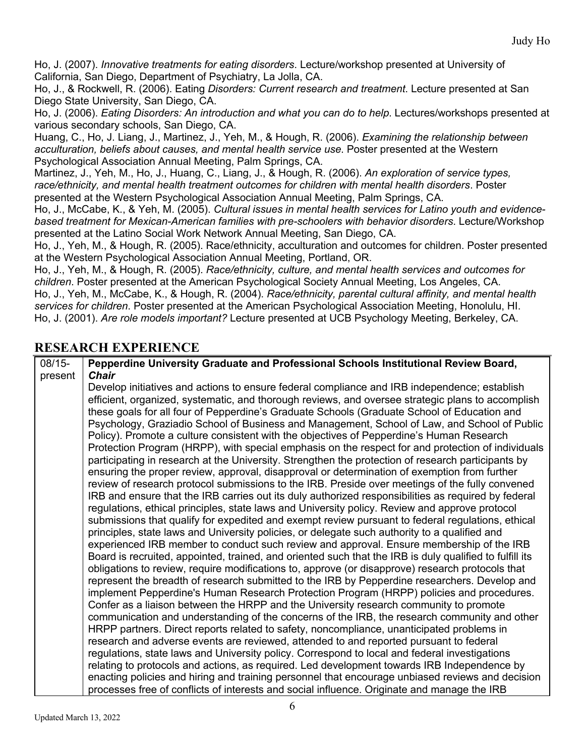Ho, J. (2007). *Innovative treatments for eating disorders*. Lecture/workshop presented at University of California, San Diego, Department of Psychiatry, La Jolla, CA.

Ho, J., & Rockwell, R. (2006). Eating *Disorders: Current research and treatment*. Lecture presented at San Diego State University, San Diego, CA.

Ho, J. (2006). *Eating Disorders: An introduction and what you can do to help*. Lectures/workshops presented at various secondary schools, San Diego, CA.

Huang, C., Ho, J. Liang, J., Martinez, J., Yeh, M., & Hough, R. (2006). *Examining the relationship between acculturation, beliefs about causes, and mental health service use*. Poster presented at the Western Psychological Association Annual Meeting, Palm Springs, CA.

Martinez, J., Yeh, M., Ho, J., Huang, C., Liang, J., & Hough, R. (2006). *An exploration of service types, race/ethnicity, and mental health treatment outcomes for children with mental health disorders*. Poster presented at the Western Psychological Association Annual Meeting, Palm Springs, CA.

Ho, J., McCabe, K., & Yeh, M. (2005). *Cultural issues in mental health services for Latino youth and evidencebased treatment for Mexican-American families with pre-schoolers with behavior disorders*. Lecture/Workshop presented at the Latino Social Work Network Annual Meeting, San Diego, CA.

Ho, J., Yeh, M., & Hough, R. (2005). Race/ethnicity, acculturation and outcomes for children. Poster presented at the Western Psychological Association Annual Meeting, Portland, OR.

Ho, J., Yeh, M., & Hough, R. (2005). *Race/ethnicity, culture, and mental health services and outcomes for children*. Poster presented at the American Psychological Society Annual Meeting, Los Angeles, CA. Ho, J., Yeh, M., McCabe, K., & Hough, R. (2004). *Race/ethnicity, parental cultural affinity, and mental health services for children*. Poster presented at the American Psychological Association Meeting, Honolulu, HI. Ho, J. (2001). *Are role models important?* Lecture presented at UCB Psychology Meeting, Berkeley, CA.

## **RESEARCH EXPERIENCE**

08/15 present **Pepperdine University Graduate and Professional Schools Institutional Review Board,**  *Chair*

Develop initiatives and actions to ensure federal compliance and IRB independence; establish efficient, organized, systematic, and thorough reviews, and oversee strategic plans to accomplish these goals for all four of Pepperdine's Graduate Schools (Graduate School of Education and Psychology, Graziadio School of Business and Management, School of Law, and School of Public Policy). Promote a culture consistent with the objectives of Pepperdine's Human Research Protection Program (HRPP), with special emphasis on the respect for and protection of individuals participating in research at the University. Strengthen the protection of research participants by ensuring the proper review, approval, disapproval or determination of exemption from further review of research protocol submissions to the IRB. Preside over meetings of the fully convened IRB and ensure that the IRB carries out its duly authorized responsibilities as required by federal regulations, ethical principles, state laws and University policy. Review and approve protocol submissions that qualify for expedited and exempt review pursuant to federal regulations, ethical principles, state laws and University policies, or delegate such authority to a qualified and experienced IRB member to conduct such review and approval. Ensure membership of the IRB Board is recruited, appointed, trained, and oriented such that the IRB is duly qualified to fulfill its obligations to review, require modifications to, approve (or disapprove) research protocols that represent the breadth of research submitted to the IRB by Pepperdine researchers. Develop and implement Pepperdine's Human Research Protection Program (HRPP) policies and procedures. Confer as a liaison between the HRPP and the University research community to promote communication and understanding of the concerns of the IRB, the research community and other HRPP partners. Direct reports related to safety, noncompliance, unanticipated problems in research and adverse events are reviewed, attended to and reported pursuant to federal regulations, state laws and University policy. Correspond to local and federal investigations relating to protocols and actions, as required. Led development towards IRB Independence by enacting policies and hiring and training personnel that encourage unbiased reviews and decision processes free of conflicts of interests and social influence. Originate and manage the IRB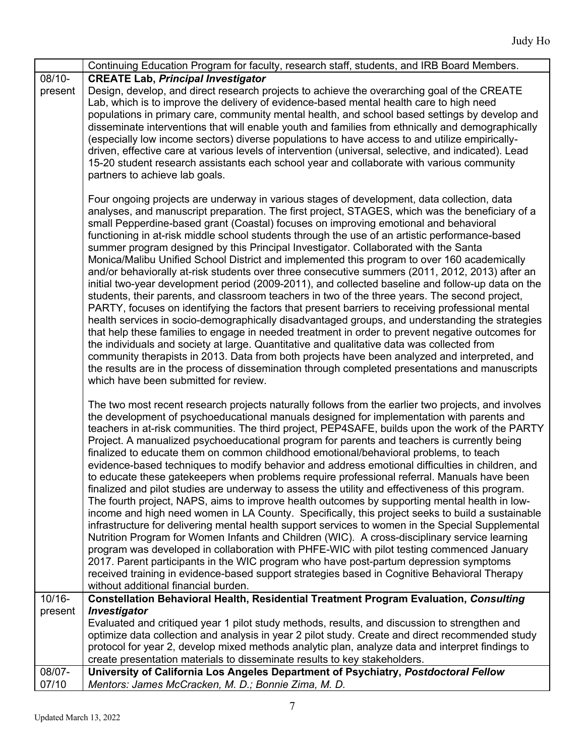|           | Continuing Education Program for faculty, research staff, students, and IRB Board Members.                                                                                                                                                                                                                                                                                                                                                                                                                                                                                                                                                                                                                                                                                                                                                                                                                                                                                                                                                                                                                                                                                                                                                                                                                                                                                                                                                                                                                                                   |
|-----------|----------------------------------------------------------------------------------------------------------------------------------------------------------------------------------------------------------------------------------------------------------------------------------------------------------------------------------------------------------------------------------------------------------------------------------------------------------------------------------------------------------------------------------------------------------------------------------------------------------------------------------------------------------------------------------------------------------------------------------------------------------------------------------------------------------------------------------------------------------------------------------------------------------------------------------------------------------------------------------------------------------------------------------------------------------------------------------------------------------------------------------------------------------------------------------------------------------------------------------------------------------------------------------------------------------------------------------------------------------------------------------------------------------------------------------------------------------------------------------------------------------------------------------------------|
| 08/10-    | <b>CREATE Lab, Principal Investigator</b>                                                                                                                                                                                                                                                                                                                                                                                                                                                                                                                                                                                                                                                                                                                                                                                                                                                                                                                                                                                                                                                                                                                                                                                                                                                                                                                                                                                                                                                                                                    |
| present   | Design, develop, and direct research projects to achieve the overarching goal of the CREATE                                                                                                                                                                                                                                                                                                                                                                                                                                                                                                                                                                                                                                                                                                                                                                                                                                                                                                                                                                                                                                                                                                                                                                                                                                                                                                                                                                                                                                                  |
|           | Lab, which is to improve the delivery of evidence-based mental health care to high need                                                                                                                                                                                                                                                                                                                                                                                                                                                                                                                                                                                                                                                                                                                                                                                                                                                                                                                                                                                                                                                                                                                                                                                                                                                                                                                                                                                                                                                      |
|           | populations in primary care, community mental health, and school based settings by develop and                                                                                                                                                                                                                                                                                                                                                                                                                                                                                                                                                                                                                                                                                                                                                                                                                                                                                                                                                                                                                                                                                                                                                                                                                                                                                                                                                                                                                                               |
|           | disseminate interventions that will enable youth and families from ethnically and demographically                                                                                                                                                                                                                                                                                                                                                                                                                                                                                                                                                                                                                                                                                                                                                                                                                                                                                                                                                                                                                                                                                                                                                                                                                                                                                                                                                                                                                                            |
|           | (especially low income sectors) diverse populations to have access to and utilize empirically-                                                                                                                                                                                                                                                                                                                                                                                                                                                                                                                                                                                                                                                                                                                                                                                                                                                                                                                                                                                                                                                                                                                                                                                                                                                                                                                                                                                                                                               |
|           | driven, effective care at various levels of intervention (universal, selective, and indicated). Lead                                                                                                                                                                                                                                                                                                                                                                                                                                                                                                                                                                                                                                                                                                                                                                                                                                                                                                                                                                                                                                                                                                                                                                                                                                                                                                                                                                                                                                         |
|           | 15-20 student research assistants each school year and collaborate with various community<br>partners to achieve lab goals.                                                                                                                                                                                                                                                                                                                                                                                                                                                                                                                                                                                                                                                                                                                                                                                                                                                                                                                                                                                                                                                                                                                                                                                                                                                                                                                                                                                                                  |
|           |                                                                                                                                                                                                                                                                                                                                                                                                                                                                                                                                                                                                                                                                                                                                                                                                                                                                                                                                                                                                                                                                                                                                                                                                                                                                                                                                                                                                                                                                                                                                              |
|           | Four ongoing projects are underway in various stages of development, data collection, data<br>analyses, and manuscript preparation. The first project, STAGES, which was the beneficiary of a<br>small Pepperdine-based grant (Coastal) focuses on improving emotional and behavioral<br>functioning in at-risk middle school students through the use of an artistic performance-based<br>summer program designed by this Principal Investigator. Collaborated with the Santa<br>Monica/Malibu Unified School District and implemented this program to over 160 academically<br>and/or behaviorally at-risk students over three consecutive summers (2011, 2012, 2013) after an<br>initial two-year development period (2009-2011), and collected baseline and follow-up data on the<br>students, their parents, and classroom teachers in two of the three years. The second project,<br>PARTY, focuses on identifying the factors that present barriers to receiving professional mental<br>health services in socio-demographically disadvantaged groups, and understanding the strategies                                                                                                                                                                                                                                                                                                                                                                                                                                               |
|           | that help these families to engage in needed treatment in order to prevent negative outcomes for<br>the individuals and society at large. Quantitative and qualitative data was collected from<br>community therapists in 2013. Data from both projects have been analyzed and interpreted, and<br>the results are in the process of dissemination through completed presentations and manuscripts<br>which have been submitted for review.                                                                                                                                                                                                                                                                                                                                                                                                                                                                                                                                                                                                                                                                                                                                                                                                                                                                                                                                                                                                                                                                                                  |
|           | The two most recent research projects naturally follows from the earlier two projects, and involves<br>the development of psychoeducational manuals designed for implementation with parents and<br>teachers in at-risk communities. The third project, PEP4SAFE, builds upon the work of the PARTY<br>Project. A manualized psychoeducational program for parents and teachers is currently being<br>finalized to educate them on common childhood emotional/behavioral problems, to teach<br>evidence-based techniques to modify behavior and address emotional difficulties in children, and<br>to educate these gatekeepers when problems require professional referral. Manuals have been<br>finalized and pilot studies are underway to assess the utility and effectiveness of this program.<br>The fourth project, NAPS, aims to improve health outcomes by supporting mental health in low-<br>income and high need women in LA County. Specifically, this project seeks to build a sustainable<br>infrastructure for delivering mental health support services to women in the Special Supplemental<br>Nutrition Program for Women Infants and Children (WIC). A cross-disciplinary service learning<br>program was developed in collaboration with PHFE-WIC with pilot testing commenced January<br>2017. Parent participants in the WIC program who have post-partum depression symptoms<br>received training in evidence-based support strategies based in Cognitive Behavioral Therapy<br>without additional financial burden. |
| $10/16 -$ | Constellation Behavioral Health, Residential Treatment Program Evaluation, Consulting                                                                                                                                                                                                                                                                                                                                                                                                                                                                                                                                                                                                                                                                                                                                                                                                                                                                                                                                                                                                                                                                                                                                                                                                                                                                                                                                                                                                                                                        |
| present   | Investigator                                                                                                                                                                                                                                                                                                                                                                                                                                                                                                                                                                                                                                                                                                                                                                                                                                                                                                                                                                                                                                                                                                                                                                                                                                                                                                                                                                                                                                                                                                                                 |
|           | Evaluated and critiqued year 1 pilot study methods, results, and discussion to strengthen and                                                                                                                                                                                                                                                                                                                                                                                                                                                                                                                                                                                                                                                                                                                                                                                                                                                                                                                                                                                                                                                                                                                                                                                                                                                                                                                                                                                                                                                |
|           | optimize data collection and analysis in year 2 pilot study. Create and direct recommended study                                                                                                                                                                                                                                                                                                                                                                                                                                                                                                                                                                                                                                                                                                                                                                                                                                                                                                                                                                                                                                                                                                                                                                                                                                                                                                                                                                                                                                             |
|           | protocol for year 2, develop mixed methods analytic plan, analyze data and interpret findings to                                                                                                                                                                                                                                                                                                                                                                                                                                                                                                                                                                                                                                                                                                                                                                                                                                                                                                                                                                                                                                                                                                                                                                                                                                                                                                                                                                                                                                             |
| 08/07-    | create presentation materials to disseminate results to key stakeholders.                                                                                                                                                                                                                                                                                                                                                                                                                                                                                                                                                                                                                                                                                                                                                                                                                                                                                                                                                                                                                                                                                                                                                                                                                                                                                                                                                                                                                                                                    |
| 07/10     | University of California Los Angeles Department of Psychiatry, Postdoctoral Fellow<br>Mentors: James McCracken, M. D.; Bonnie Zima, M. D.                                                                                                                                                                                                                                                                                                                                                                                                                                                                                                                                                                                                                                                                                                                                                                                                                                                                                                                                                                                                                                                                                                                                                                                                                                                                                                                                                                                                    |
|           |                                                                                                                                                                                                                                                                                                                                                                                                                                                                                                                                                                                                                                                                                                                                                                                                                                                                                                                                                                                                                                                                                                                                                                                                                                                                                                                                                                                                                                                                                                                                              |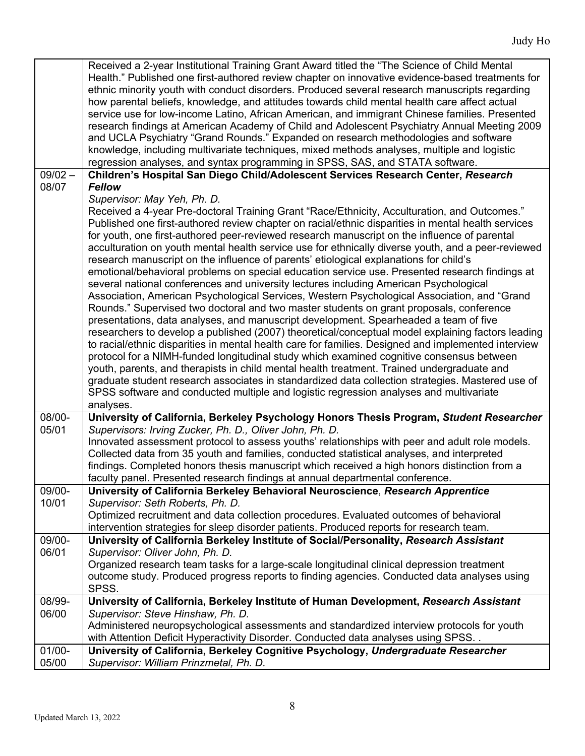|           | Received a 2-year Institutional Training Grant Award titled the "The Science of Child Mental<br>Health." Published one first-authored review chapter on innovative evidence-based treatments for |
|-----------|--------------------------------------------------------------------------------------------------------------------------------------------------------------------------------------------------|
|           | ethnic minority youth with conduct disorders. Produced several research manuscripts regarding<br>how parental beliefs, knowledge, and attitudes towards child mental health care affect actual   |
|           | service use for low-income Latino, African American, and immigrant Chinese families. Presented                                                                                                   |
|           | research findings at American Academy of Child and Adolescent Psychiatry Annual Meeting 2009                                                                                                     |
|           | and UCLA Psychiatry "Grand Rounds." Expanded on research methodologies and software                                                                                                              |
|           | knowledge, including multivariate techniques, mixed methods analyses, multiple and logistic<br>regression analyses, and syntax programming in SPSS, SAS, and STATA software.                     |
| $09/02 -$ | Children's Hospital San Diego Child/Adolescent Services Research Center, Research                                                                                                                |
| 08/07     | <b>Fellow</b>                                                                                                                                                                                    |
|           | Supervisor: May Yeh, Ph. D.                                                                                                                                                                      |
|           | Received a 4-year Pre-doctoral Training Grant "Race/Ethnicity, Acculturation, and Outcomes."                                                                                                     |
|           | Published one first-authored review chapter on racial/ethnic disparities in mental health services                                                                                               |
|           | for youth, one first-authored peer-reviewed research manuscript on the influence of parental                                                                                                     |
|           | acculturation on youth mental health service use for ethnically diverse youth, and a peer-reviewed<br>research manuscript on the influence of parents' etiological explanations for child's      |
|           | emotional/behavioral problems on special education service use. Presented research findings at                                                                                                   |
|           | several national conferences and university lectures including American Psychological                                                                                                            |
|           | Association, American Psychological Services, Western Psychological Association, and "Grand                                                                                                      |
|           | Rounds." Supervised two doctoral and two master students on grant proposals, conference                                                                                                          |
|           | presentations, data analyses, and manuscript development. Spearheaded a team of five                                                                                                             |
|           | researchers to develop a published (2007) theoretical/conceptual model explaining factors leading                                                                                                |
|           | to racial/ethnic disparities in mental health care for families. Designed and implemented interview<br>protocol for a NIMH-funded longitudinal study which examined cognitive consensus between  |
|           | youth, parents, and therapists in child mental health treatment. Trained undergraduate and                                                                                                       |
|           | graduate student research associates in standardized data collection strategies. Mastered use of                                                                                                 |
|           | SPSS software and conducted multiple and logistic regression analyses and multivariate                                                                                                           |
|           | analyses.                                                                                                                                                                                        |
| 08/00-    | University of California, Berkeley Psychology Honors Thesis Program, Student Researcher                                                                                                          |
| 05/01     | Supervisors: Irving Zucker, Ph. D., Oliver John, Ph. D.<br>Innovated assessment protocol to assess youths' relationships with peer and adult role models.                                        |
|           | Collected data from 35 youth and families, conducted statistical analyses, and interpreted                                                                                                       |
|           | findings. Completed honors thesis manuscript which received a high honors distinction from a                                                                                                     |
|           | faculty panel. Presented research findings at annual departmental conference.                                                                                                                    |
| 09/00-    | University of California Berkeley Behavioral Neuroscience, Research Apprentice                                                                                                                   |
| 10/01     | Supervisor: Seth Roberts, Ph. D.                                                                                                                                                                 |
|           | Optimized recruitment and data collection procedures. Evaluated outcomes of behavioral                                                                                                           |
| 09/00-    | intervention strategies for sleep disorder patients. Produced reports for research team.<br>University of California Berkeley Institute of Social/Personality, Research Assistant                |
| 06/01     | Supervisor: Oliver John, Ph. D.                                                                                                                                                                  |
|           | Organized research team tasks for a large-scale longitudinal clinical depression treatment                                                                                                       |
|           | outcome study. Produced progress reports to finding agencies. Conducted data analyses using                                                                                                      |
|           | SPSS.                                                                                                                                                                                            |
| 08/99-    | University of California, Berkeley Institute of Human Development, Research Assistant                                                                                                            |
| 06/00     | Supervisor: Steve Hinshaw, Ph. D.                                                                                                                                                                |
|           | Administered neuropsychological assessments and standardized interview protocols for youth<br>with Attention Deficit Hyperactivity Disorder. Conducted data analyses using SPSS                  |
| $01/00 -$ | University of California, Berkeley Cognitive Psychology, Undergraduate Researcher                                                                                                                |
| 05/00     | Supervisor: William Prinzmetal, Ph. D.                                                                                                                                                           |
|           |                                                                                                                                                                                                  |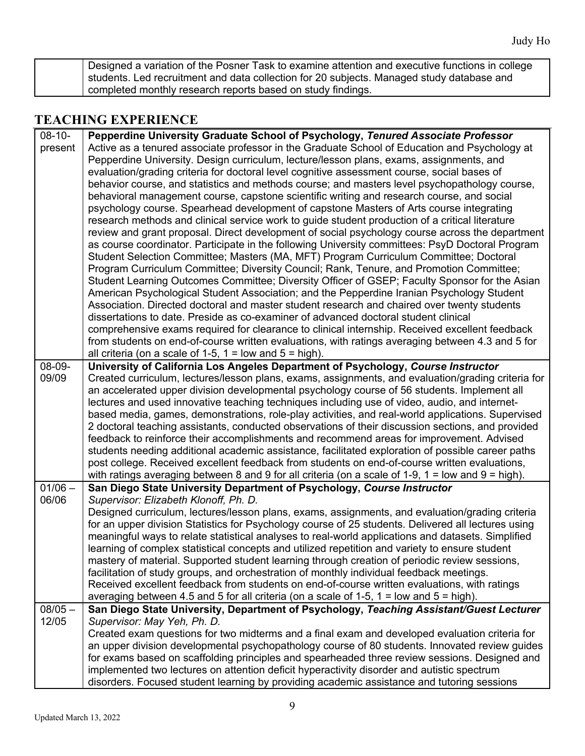| Designed a variation of the Posner Task to examine attention and executive functions in college |
|-------------------------------------------------------------------------------------------------|
| students. Led recruitment and data collection for 20 subjects. Managed study database and       |
| completed monthly research reports based on study findings.                                     |

## **TEACHING EXPERIENCE**

| $08 - 10 -$ | Pepperdine University Graduate School of Psychology, Tenured Associate Professor                                                                                             |
|-------------|------------------------------------------------------------------------------------------------------------------------------------------------------------------------------|
| present     | Active as a tenured associate professor in the Graduate School of Education and Psychology at                                                                                |
|             | Pepperdine University. Design curriculum, lecture/lesson plans, exams, assignments, and                                                                                      |
|             | evaluation/grading criteria for doctoral level cognitive assessment course, social bases of                                                                                  |
|             | behavior course, and statistics and methods course; and masters level psychopathology course,                                                                                |
|             | behavioral management course, capstone scientific writing and research course, and social                                                                                    |
|             | psychology course. Spearhead development of capstone Masters of Arts course integrating                                                                                      |
|             | research methods and clinical service work to guide student production of a critical literature                                                                              |
|             | review and grant proposal. Direct development of social psychology course across the department                                                                              |
|             | as course coordinator. Participate in the following University committees: PsyD Doctoral Program                                                                             |
|             | Student Selection Committee; Masters (MA, MFT) Program Curriculum Committee; Doctoral                                                                                        |
|             | Program Curriculum Committee; Diversity Council; Rank, Tenure, and Promotion Committee;                                                                                      |
|             | Student Learning Outcomes Committee; Diversity Officer of GSEP; Faculty Sponsor for the Asian                                                                                |
|             | American Psychological Student Association; and the Pepperdine Iranian Psychology Student                                                                                    |
|             | Association. Directed doctoral and master student research and chaired over twenty students                                                                                  |
|             | dissertations to date. Preside as co-examiner of advanced doctoral student clinical                                                                                          |
|             | comprehensive exams required for clearance to clinical internship. Received excellent feedback                                                                               |
|             | from students on end-of-course written evaluations, with ratings averaging between 4.3 and 5 for                                                                             |
|             | all criteria (on a scale of 1-5, $1 =$ low and $5 =$ high).                                                                                                                  |
| $08-09-$    | University of California Los Angeles Department of Psychology, Course Instructor                                                                                             |
| 09/09       | Created curriculum, lectures/lesson plans, exams, assignments, and evaluation/grading criteria for                                                                           |
|             | an accelerated upper division developmental psychology course of 56 students. Implement all                                                                                  |
|             | lectures and used innovative teaching techniques including use of video, audio, and internet-                                                                                |
|             | based media, games, demonstrations, role-play activities, and real-world applications. Supervised                                                                            |
|             | 2 doctoral teaching assistants, conducted observations of their discussion sections, and provided                                                                            |
|             | feedback to reinforce their accomplishments and recommend areas for improvement. Advised                                                                                     |
|             | students needing additional academic assistance, facilitated exploration of possible career paths                                                                            |
|             | post college. Received excellent feedback from students on end-of-course written evaluations,                                                                                |
| $01/06 -$   | with ratings averaging between 8 and 9 for all criteria (on a scale of 1-9, 1 = low and 9 = high).<br>San Diego State University Department of Psychology, Course Instructor |
| 06/06       | Supervisor: Elizabeth Klonoff, Ph. D.                                                                                                                                        |
|             | Designed curriculum, lectures/lesson plans, exams, assignments, and evaluation/grading criteria                                                                              |
|             | for an upper division Statistics for Psychology course of 25 students. Delivered all lectures using                                                                          |
|             | meaningful ways to relate statistical analyses to real-world applications and datasets. Simplified                                                                           |
|             | learning of complex statistical concepts and utilized repetition and variety to ensure student                                                                               |
|             | mastery of material. Supported student learning through creation of periodic review sessions,                                                                                |
|             | facilitation of study groups, and orchestration of monthly individual feedback meetings.                                                                                     |
|             | Received excellent feedback from students on end-of-course written evaluations, with ratings                                                                                 |
|             | averaging between 4.5 and 5 for all criteria (on a scale of 1-5, $1 =$ low and $5 =$ high).                                                                                  |
| $08/05 -$   | San Diego State University, Department of Psychology, Teaching Assistant/Guest Lecturer                                                                                      |
| 12/05       | Supervisor: May Yeh, Ph. D.                                                                                                                                                  |
|             | Created exam questions for two midterms and a final exam and developed evaluation criteria for                                                                               |
|             | an upper division developmental psychopathology course of 80 students. Innovated review guides                                                                               |
|             | for exams based on scaffolding principles and spearheaded three review sessions. Designed and                                                                                |
|             | implemented two lectures on attention deficit hyperactivity disorder and autistic spectrum                                                                                   |
|             | disorders. Focused student learning by providing academic assistance and tutoring sessions                                                                                   |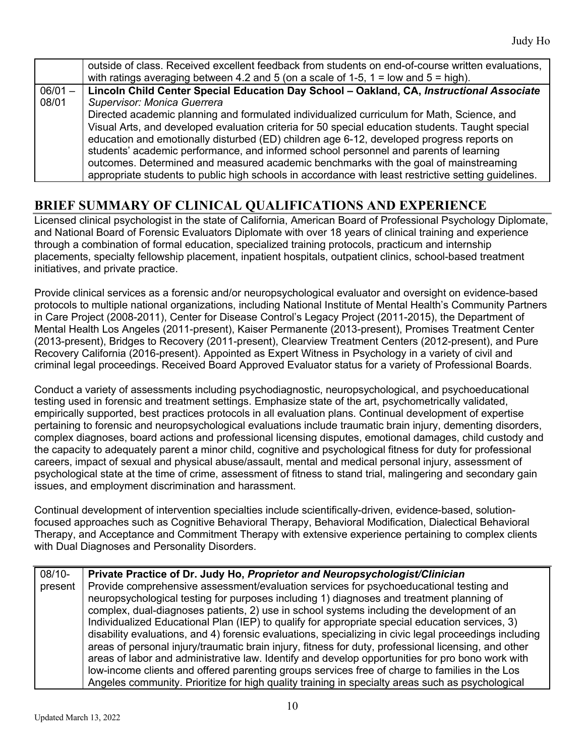|           | outside of class. Received excellent feedback from students on end-of-course written evaluations,    |
|-----------|------------------------------------------------------------------------------------------------------|
|           | with ratings averaging between 4.2 and 5 (on a scale of 1-5, 1 = low and $5 =$ high).                |
| $06/01 -$ | Lincoln Child Center Special Education Day School - Oakland, CA, Instructional Associate             |
| 08/01     | Supervisor: Monica Guerrera                                                                          |
|           | Directed academic planning and formulated individualized curriculum for Math, Science, and           |
|           | Visual Arts, and developed evaluation criteria for 50 special education students. Taught special     |
|           | education and emotionally disturbed (ED) children age 6-12, developed progress reports on            |
|           | students' academic performance, and informed school personnel and parents of learning                |
|           | outcomes. Determined and measured academic benchmarks with the goal of mainstreaming                 |
|           | appropriate students to public high schools in accordance with least restrictive setting guidelines. |

## **BRIEF SUMMARY OF CLINICAL QUALIFICATIONS AND EXPERIENCE**

Licensed clinical psychologist in the state of California, American Board of Professional Psychology Diplomate, and National Board of Forensic Evaluators Diplomate with over 18 years of clinical training and experience through a combination of formal education, specialized training protocols, practicum and internship placements, specialty fellowship placement, inpatient hospitals, outpatient clinics, school-based treatment initiatives, and private practice.

Provide clinical services as a forensic and/or neuropsychological evaluator and oversight on evidence-based protocols to multiple national organizations, including National Institute of Mental Health's Community Partners in Care Project (2008-2011), Center for Disease Control's Legacy Project (2011-2015), the Department of Mental Health Los Angeles (2011-present), Kaiser Permanente (2013-present), Promises Treatment Center (2013-present), Bridges to Recovery (2011-present), Clearview Treatment Centers (2012-present), and Pure Recovery California (2016-present). Appointed as Expert Witness in Psychology in a variety of civil and criminal legal proceedings. Received Board Approved Evaluator status for a variety of Professional Boards.

Conduct a variety of assessments including psychodiagnostic, neuropsychological, and psychoeducational testing used in forensic and treatment settings. Emphasize state of the art, psychometrically validated, empirically supported, best practices protocols in all evaluation plans. Continual development of expertise pertaining to forensic and neuropsychological evaluations include traumatic brain injury, dementing disorders, complex diagnoses, board actions and professional licensing disputes, emotional damages, child custody and the capacity to adequately parent a minor child, cognitive and psychological fitness for duty for professional careers, impact of sexual and physical abuse/assault, mental and medical personal injury, assessment of psychological state at the time of crime, assessment of fitness to stand trial, malingering and secondary gain issues, and employment discrimination and harassment.

Continual development of intervention specialties include scientifically-driven, evidence-based, solutionfocused approaches such as Cognitive Behavioral Therapy, Behavioral Modification, Dialectical Behavioral Therapy, and Acceptance and Commitment Therapy with extensive experience pertaining to complex clients with Dual Diagnoses and Personality Disorders.

| 08/10-  | Private Practice of Dr. Judy Ho, Proprietor and Neuropsychologist/Clinician                                                                                                                                                                                                                                                                                                                                                                                                                                                                                                                                                                                                                                                                                                                                           |
|---------|-----------------------------------------------------------------------------------------------------------------------------------------------------------------------------------------------------------------------------------------------------------------------------------------------------------------------------------------------------------------------------------------------------------------------------------------------------------------------------------------------------------------------------------------------------------------------------------------------------------------------------------------------------------------------------------------------------------------------------------------------------------------------------------------------------------------------|
| present | Provide comprehensive assessment/evaluation services for psychoeducational testing and                                                                                                                                                                                                                                                                                                                                                                                                                                                                                                                                                                                                                                                                                                                                |
|         | neuropsychological testing for purposes including 1) diagnoses and treatment planning of<br>complex, dual-diagnoses patients, 2) use in school systems including the development of an<br>Individualized Educational Plan (IEP) to qualify for appropriate special education services, 3)<br>disability evaluations, and 4) forensic evaluations, specializing in civic legal proceedings including<br>areas of personal injury/traumatic brain injury, fitness for duty, professional licensing, and other<br>areas of labor and administrative law. Identify and develop opportunities for pro bono work with<br>low-income clients and offered parenting groups services free of charge to families in the Los<br>Angeles community. Prioritize for high quality training in specialty areas such as psychological |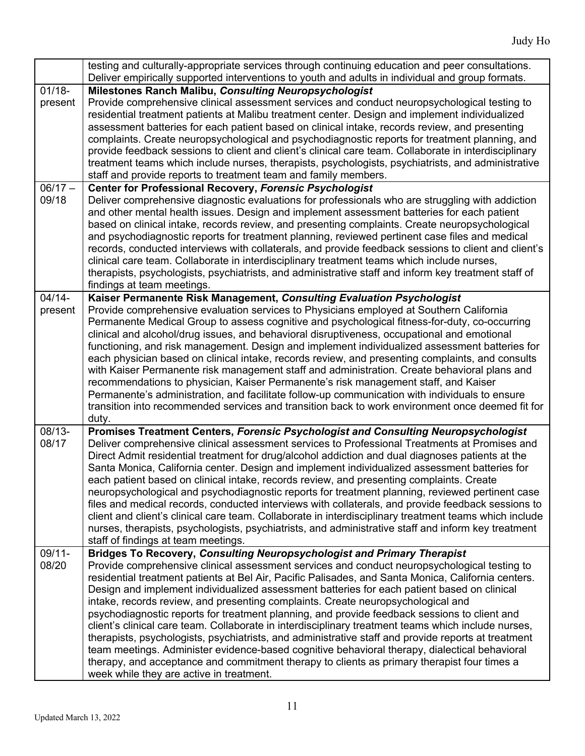|                      | testing and culturally-appropriate services through continuing education and peer consultations.<br>Deliver empirically supported interventions to youth and adults in individual and group formats.                                                                                                                                                                                                            |
|----------------------|-----------------------------------------------------------------------------------------------------------------------------------------------------------------------------------------------------------------------------------------------------------------------------------------------------------------------------------------------------------------------------------------------------------------|
| $01/18 -$<br>present | Milestones Ranch Malibu, Consulting Neuropsychologist<br>Provide comprehensive clinical assessment services and conduct neuropsychological testing to<br>residential treatment patients at Malibu treatment center. Design and implement individualized                                                                                                                                                         |
|                      | assessment batteries for each patient based on clinical intake, records review, and presenting<br>complaints. Create neuropsychological and psychodiagnostic reports for treatment planning, and<br>provide feedback sessions to client and client's clinical care team. Collaborate in interdisciplinary<br>treatment teams which include nurses, therapists, psychologists, psychiatrists, and administrative |
|                      | staff and provide reports to treatment team and family members.                                                                                                                                                                                                                                                                                                                                                 |
| $06/17 -$            | <b>Center for Professional Recovery, Forensic Psychologist</b>                                                                                                                                                                                                                                                                                                                                                  |
| 09/18                | Deliver comprehensive diagnostic evaluations for professionals who are struggling with addiction<br>and other mental health issues. Design and implement assessment batteries for each patient                                                                                                                                                                                                                  |
|                      | based on clinical intake, records review, and presenting complaints. Create neuropsychological                                                                                                                                                                                                                                                                                                                  |
|                      | and psychodiagnostic reports for treatment planning, reviewed pertinent case files and medical                                                                                                                                                                                                                                                                                                                  |
|                      | records, conducted interviews with collaterals, and provide feedback sessions to client and client's                                                                                                                                                                                                                                                                                                            |
|                      | clinical care team. Collaborate in interdisciplinary treatment teams which include nurses,                                                                                                                                                                                                                                                                                                                      |
|                      | therapists, psychologists, psychiatrists, and administrative staff and inform key treatment staff of                                                                                                                                                                                                                                                                                                            |
|                      | findings at team meetings.                                                                                                                                                                                                                                                                                                                                                                                      |
| $04/14-$             | Kaiser Permanente Risk Management, Consulting Evaluation Psychologist<br>Provide comprehensive evaluation services to Physicians employed at Southern California                                                                                                                                                                                                                                                |
| present              | Permanente Medical Group to assess cognitive and psychological fitness-for-duty, co-occurring                                                                                                                                                                                                                                                                                                                   |
|                      | clinical and alcohol/drug issues, and behavioral disruptiveness, occupational and emotional                                                                                                                                                                                                                                                                                                                     |
|                      | functioning, and risk management. Design and implement individualized assessment batteries for                                                                                                                                                                                                                                                                                                                  |
|                      | each physician based on clinical intake, records review, and presenting complaints, and consults                                                                                                                                                                                                                                                                                                                |
|                      | with Kaiser Permanente risk management staff and administration. Create behavioral plans and                                                                                                                                                                                                                                                                                                                    |
|                      | recommendations to physician, Kaiser Permanente's risk management staff, and Kaiser                                                                                                                                                                                                                                                                                                                             |
|                      | Permanente's administration, and facilitate follow-up communication with individuals to ensure                                                                                                                                                                                                                                                                                                                  |
|                      | transition into recommended services and transition back to work environment once deemed fit for<br>duty.                                                                                                                                                                                                                                                                                                       |
| $08/13 -$            | Promises Treatment Centers, Forensic Psychologist and Consulting Neuropsychologist                                                                                                                                                                                                                                                                                                                              |
| 08/17                | Deliver comprehensive clinical assessment services to Professional Treatments at Promises and<br>Direct Admit residential treatment for drug/alcohol addiction and dual diagnoses patients at the                                                                                                                                                                                                               |
|                      | Santa Monica, California center. Design and implement individualized assessment batteries for<br>each patient based on clinical intake, records review, and presenting complaints. Create                                                                                                                                                                                                                       |
|                      | neuropsychological and psychodiagnostic reports for treatment planning, reviewed pertinent case                                                                                                                                                                                                                                                                                                                 |
|                      | files and medical records, conducted interviews with collaterals, and provide feedback sessions to                                                                                                                                                                                                                                                                                                              |
|                      | client and client's clinical care team. Collaborate in interdisciplinary treatment teams which include                                                                                                                                                                                                                                                                                                          |
|                      | nurses, therapists, psychologists, psychiatrists, and administrative staff and inform key treatment                                                                                                                                                                                                                                                                                                             |
|                      | staff of findings at team meetings.                                                                                                                                                                                                                                                                                                                                                                             |
| 09/11-<br>08/20      | Bridges To Recovery, Consulting Neuropsychologist and Primary Therapist<br>Provide comprehensive clinical assessment services and conduct neuropsychological testing to                                                                                                                                                                                                                                         |
|                      | residential treatment patients at Bel Air, Pacific Palisades, and Santa Monica, California centers.                                                                                                                                                                                                                                                                                                             |
|                      | Design and implement individualized assessment batteries for each patient based on clinical                                                                                                                                                                                                                                                                                                                     |
|                      | intake, records review, and presenting complaints. Create neuropsychological and                                                                                                                                                                                                                                                                                                                                |
|                      | psychodiagnostic reports for treatment planning, and provide feedback sessions to client and                                                                                                                                                                                                                                                                                                                    |
|                      | client's clinical care team. Collaborate in interdisciplinary treatment teams which include nurses,                                                                                                                                                                                                                                                                                                             |
|                      | therapists, psychologists, psychiatrists, and administrative staff and provide reports at treatment                                                                                                                                                                                                                                                                                                             |
|                      | team meetings. Administer evidence-based cognitive behavioral therapy, dialectical behavioral                                                                                                                                                                                                                                                                                                                   |
|                      | therapy, and acceptance and commitment therapy to clients as primary therapist four times a<br>week while they are active in treatment.                                                                                                                                                                                                                                                                         |
|                      |                                                                                                                                                                                                                                                                                                                                                                                                                 |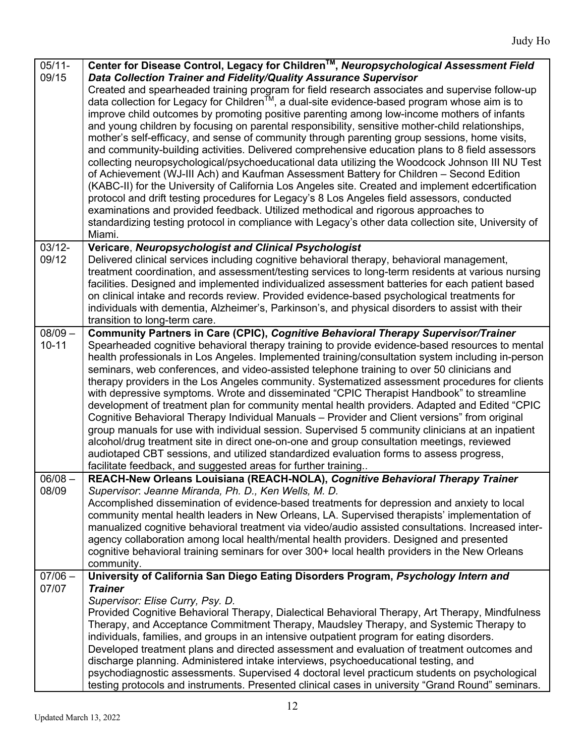| $05/11 -$ | Center for Disease Control, Legacy for Children™, Neuropsychological Assessment Field                                                                                            |
|-----------|----------------------------------------------------------------------------------------------------------------------------------------------------------------------------------|
| 09/15     | Data Collection Trainer and Fidelity/Quality Assurance Supervisor                                                                                                                |
|           | Created and spearheaded training program for field research associates and supervise follow-up                                                                                   |
|           | data collection for Legacy for Children <sup>™</sup> , a dual-site evidence-based program whose aim is to                                                                        |
|           | improve child outcomes by promoting positive parenting among low-income mothers of infants                                                                                       |
|           | and young children by focusing on parental responsibility, sensitive mother-child relationships,                                                                                 |
|           | mother's self-efficacy, and sense of community through parenting group sessions, home visits,                                                                                    |
|           | and community-building activities. Delivered comprehensive education plans to 8 field assessors                                                                                  |
|           | collecting neuropsychological/psychoeducational data utilizing the Woodcock Johnson III NU Test                                                                                  |
|           | of Achievement (WJ-III Ach) and Kaufman Assessment Battery for Children - Second Edition                                                                                         |
|           | (KABC-II) for the University of California Los Angeles site. Created and implement edcertification                                                                               |
|           | protocol and drift testing procedures for Legacy's 8 Los Angeles field assessors, conducted                                                                                      |
|           | examinations and provided feedback. Utilized methodical and rigorous approaches to                                                                                               |
|           | standardizing testing protocol in compliance with Legacy's other data collection site, University of                                                                             |
|           | Miami.                                                                                                                                                                           |
| $03/12 -$ | Vericare, Neuropsychologist and Clinical Psychologist                                                                                                                            |
| 09/12     | Delivered clinical services including cognitive behavioral therapy, behavioral management,                                                                                       |
|           | treatment coordination, and assessment/testing services to long-term residents at various nursing                                                                                |
|           | facilities. Designed and implemented individualized assessment batteries for each patient based                                                                                  |
|           | on clinical intake and records review. Provided evidence-based psychological treatments for                                                                                      |
|           | individuals with dementia, Alzheimer's, Parkinson's, and physical disorders to assist with their                                                                                 |
| $08/09 -$ | transition to long-term care.<br>Community Partners in Care (CPIC), Cognitive Behavioral Therapy Supervisor/Trainer                                                              |
| $10 - 11$ | Spearheaded cognitive behavioral therapy training to provide evidence-based resources to mental                                                                                  |
|           | health professionals in Los Angeles. Implemented training/consultation system including in-person                                                                                |
|           | seminars, web conferences, and video-assisted telephone training to over 50 clinicians and                                                                                       |
|           | therapy providers in the Los Angeles community. Systematized assessment procedures for clients                                                                                   |
|           | with depressive symptoms. Wrote and disseminated "CPIC Therapist Handbook" to streamline                                                                                         |
|           | development of treatment plan for community mental health providers. Adapted and Edited "CPIC                                                                                    |
|           | Cognitive Behavioral Therapy Individual Manuals - Provider and Client versions" from original                                                                                    |
|           | group manuals for use with individual session. Supervised 5 community clinicians at an inpatient                                                                                 |
|           | alcohol/drug treatment site in direct one-on-one and group consultation meetings, reviewed                                                                                       |
|           | audiotaped CBT sessions, and utilized standardized evaluation forms to assess progress,                                                                                          |
|           | facilitate feedback, and suggested areas for further training                                                                                                                    |
| $06/08 -$ | REACH-New Orleans Louisiana (REACH-NOLA), Cognitive Behavioral Therapy Trainer                                                                                                   |
| 08/09     | Supervisor: Jeanne Miranda, Ph. D., Ken Wells, M. D.                                                                                                                             |
|           | Accomplished dissemination of evidence-based treatments for depression and anxiety to local                                                                                      |
|           | community mental health leaders in New Orleans, LA. Supervised therapists' implementation of                                                                                     |
|           | manualized cognitive behavioral treatment via video/audio assisted consultations. Increased inter-                                                                               |
|           | agency collaboration among local health/mental health providers. Designed and presented                                                                                          |
|           | cognitive behavioral training seminars for over 300+ local health providers in the New Orleans                                                                                   |
|           | community.                                                                                                                                                                       |
| $07/06 -$ | University of California San Diego Eating Disorders Program, Psychology Intern and                                                                                               |
| 07/07     | <b>Trainer</b>                                                                                                                                                                   |
|           | Supervisor: Elise Curry, Psy. D.                                                                                                                                                 |
|           | Provided Cognitive Behavioral Therapy, Dialectical Behavioral Therapy, Art Therapy, Mindfulness                                                                                  |
|           | Therapy, and Acceptance Commitment Therapy, Maudsley Therapy, and Systemic Therapy to                                                                                            |
|           | individuals, families, and groups in an intensive outpatient program for eating disorders.                                                                                       |
|           | Developed treatment plans and directed assessment and evaluation of treatment outcomes and<br>discharge planning. Administered intake interviews, psychoeducational testing, and |
|           | psychodiagnostic assessments. Supervised 4 doctoral level practicum students on psychological                                                                                    |
|           | testing protocols and instruments. Presented clinical cases in university "Grand Round" seminars.                                                                                |
|           |                                                                                                                                                                                  |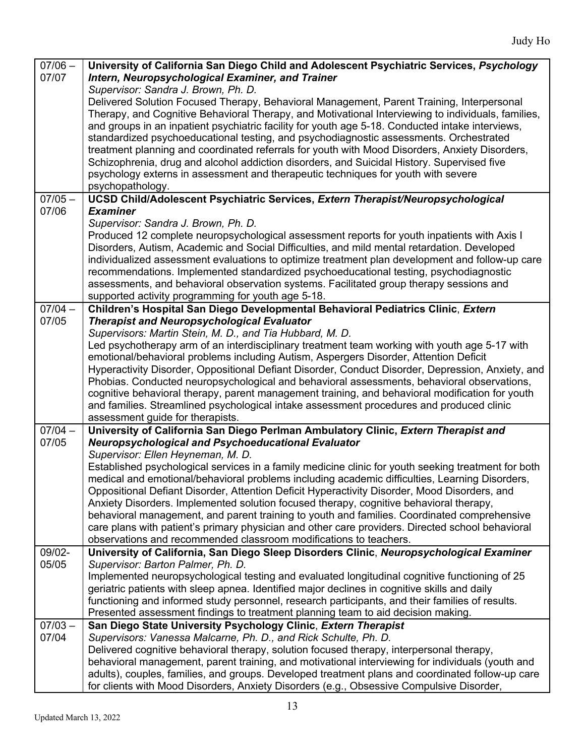| $07/06 -$            | University of California San Diego Child and Adolescent Psychiatric Services, Psychology            |
|----------------------|-----------------------------------------------------------------------------------------------------|
| 07/07                | Intern, Neuropsychological Examiner, and Trainer                                                    |
|                      | Supervisor: Sandra J. Brown, Ph. D.                                                                 |
|                      | Delivered Solution Focused Therapy, Behavioral Management, Parent Training, Interpersonal           |
|                      | Therapy, and Cognitive Behavioral Therapy, and Motivational Interviewing to individuals, families,  |
|                      | and groups in an inpatient psychiatric facility for youth age 5-18. Conducted intake interviews,    |
|                      | standardized psychoeducational testing, and psychodiagnostic assessments. Orchestrated              |
|                      | treatment planning and coordinated referrals for youth with Mood Disorders, Anxiety Disorders,      |
|                      | Schizophrenia, drug and alcohol addiction disorders, and Suicidal History. Supervised five          |
|                      | psychology externs in assessment and therapeutic techniques for youth with severe                   |
|                      | psychopathology.                                                                                    |
| $07/05 -$            | UCSD Child/Adolescent Psychiatric Services, Extern Therapist/Neuropsychological                     |
| 07/06                | <b>Examiner</b>                                                                                     |
|                      | Supervisor: Sandra J. Brown, Ph. D.                                                                 |
|                      | Produced 12 complete neuropsychological assessment reports for youth inpatients with Axis I         |
|                      | Disorders, Autism, Academic and Social Difficulties, and mild mental retardation. Developed         |
|                      | individualized assessment evaluations to optimize treatment plan development and follow-up care     |
|                      | recommendations. Implemented standardized psychoeducational testing, psychodiagnostic               |
|                      | assessments, and behavioral observation systems. Facilitated group therapy sessions and             |
|                      | supported activity programming for youth age 5-18.                                                  |
| $07/04 -$            | Children's Hospital San Diego Developmental Behavioral Pediatrics Clinic, Extern                    |
| 07/05                | <b>Therapist and Neuropsychological Evaluator</b>                                                   |
|                      | Supervisors: Martin Stein, M. D., and Tia Hubbard, M. D.                                            |
|                      | Led psychotherapy arm of an interdisciplinary treatment team working with youth age 5-17 with       |
|                      | emotional/behavioral problems including Autism, Aspergers Disorder, Attention Deficit               |
|                      | Hyperactivity Disorder, Oppositional Defiant Disorder, Conduct Disorder, Depression, Anxiety, and   |
|                      | Phobias. Conducted neuropsychological and behavioral assessments, behavioral observations,          |
|                      | cognitive behavioral therapy, parent management training, and behavioral modification for youth     |
|                      | and families. Streamlined psychological intake assessment procedures and produced clinic            |
|                      | assessment guide for therapists.                                                                    |
| $\overline{07/04}$ – | University of California San Diego Perlman Ambulatory Clinic, Extern Therapist and                  |
| 07/05                | Neuropsychological and Psychoeducational Evaluator                                                  |
|                      | Supervisor: Ellen Heyneman, M. D.                                                                   |
|                      | Established psychological services in a family medicine clinic for youth seeking treatment for both |
|                      | medical and emotional/behavioral problems including academic difficulties, Learning Disorders,      |
|                      | Oppositional Defiant Disorder, Attention Deficit Hyperactivity Disorder, Mood Disorders, and        |
|                      | Anxiety Disorders. Implemented solution focused therapy, cognitive behavioral therapy,              |
|                      | behavioral management, and parent training to youth and families. Coordinated comprehensive         |
|                      | care plans with patient's primary physician and other care providers. Directed school behavioral    |
|                      | observations and recommended classroom modifications to teachers.                                   |
| 09/02-               | University of California, San Diego Sleep Disorders Clinic, Neuropsychological Examiner             |
| 05/05                | Supervisor: Barton Palmer, Ph. D.                                                                   |
|                      | Implemented neuropsychological testing and evaluated longitudinal cognitive functioning of 25       |
|                      | geriatric patients with sleep apnea. Identified major declines in cognitive skills and daily        |
|                      | functioning and informed study personnel, research participants, and their families of results.     |
|                      | Presented assessment findings to treatment planning team to aid decision making.                    |
| $07/03 -$            | San Diego State University Psychology Clinic, Extern Therapist                                      |
| 07/04                | Supervisors: Vanessa Malcarne, Ph. D., and Rick Schulte, Ph. D.                                     |
|                      | Delivered cognitive behavioral therapy, solution focused therapy, interpersonal therapy,            |
|                      | behavioral management, parent training, and motivational interviewing for individuals (youth and    |
|                      | adults), couples, families, and groups. Developed treatment plans and coordinated follow-up care    |
|                      | for clients with Mood Disorders, Anxiety Disorders (e.g., Obsessive Compulsive Disorder,            |
|                      |                                                                                                     |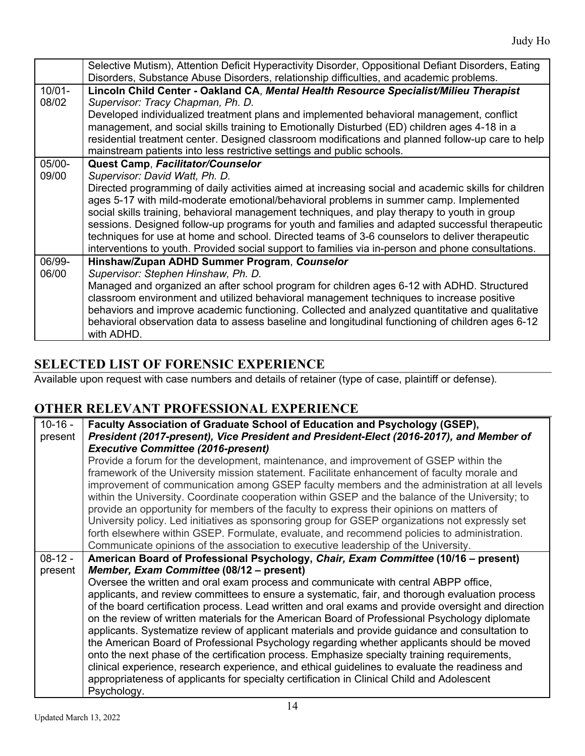|           | Selective Mutism), Attention Deficit Hyperactivity Disorder, Oppositional Defiant Disorders, Eating  |
|-----------|------------------------------------------------------------------------------------------------------|
|           | Disorders, Substance Abuse Disorders, relationship difficulties, and academic problems.              |
| $10/01 -$ | Lincoln Child Center - Oakland CA, Mental Health Resource Specialist/Milieu Therapist                |
| 08/02     | Supervisor: Tracy Chapman, Ph. D.                                                                    |
|           | Developed individualized treatment plans and implemented behavioral management, conflict             |
|           | management, and social skills training to Emotionally Disturbed (ED) children ages 4-18 in a         |
|           | residential treatment center. Designed classroom modifications and planned follow-up care to help    |
|           | mainstream patients into less restrictive settings and public schools.                               |
| $05/00 -$ | Quest Camp, Facilitator/Counselor                                                                    |
| 09/00     | Supervisor: David Watt, Ph. D.                                                                       |
|           | Directed programming of daily activities aimed at increasing social and academic skills for children |
|           | ages 5-17 with mild-moderate emotional/behavioral problems in summer camp. Implemented               |
|           | social skills training, behavioral management techniques, and play therapy to youth in group         |
|           | sessions. Designed follow-up programs for youth and families and adapted successful therapeutic      |
|           | techniques for use at home and school. Directed teams of 3-6 counselors to deliver therapeutic       |
|           | interventions to youth. Provided social support to families via in-person and phone consultations.   |
| 06/99-    | Hinshaw/Zupan ADHD Summer Program, Counselor                                                         |
| 06/00     | Supervisor: Stephen Hinshaw, Ph. D.                                                                  |
|           | Managed and organized an after school program for children ages 6-12 with ADHD. Structured           |
|           | classroom environment and utilized behavioral management techniques to increase positive             |
|           | behaviors and improve academic functioning. Collected and analyzed quantitative and qualitative      |
|           | behavioral observation data to assess baseline and longitudinal functioning of children ages 6-12    |
|           | with ADHD.                                                                                           |

## **SELECTED LIST OF FORENSIC EXPERIENCE**

Available upon request with case numbers and details of retainer (type of case, plaintiff or defense).

## **OTHER RELEVANT PROFESSIONAL EXPERIENCE**

| $10 - 16 -$<br>present | Faculty Association of Graduate School of Education and Psychology (GSEP),<br>President (2017-present), Vice President and President-Elect (2016-2017), and Member of                            |
|------------------------|--------------------------------------------------------------------------------------------------------------------------------------------------------------------------------------------------|
|                        | <b>Executive Committee (2016-present)</b>                                                                                                                                                        |
|                        | Provide a forum for the development, maintenance, and improvement of GSEP within the                                                                                                             |
|                        | framework of the University mission statement. Facilitate enhancement of faculty morale and                                                                                                      |
|                        | improvement of communication among GSEP faculty members and the administration at all levels                                                                                                     |
|                        | within the University. Coordinate cooperation within GSEP and the balance of the University; to                                                                                                  |
|                        | provide an opportunity for members of the faculty to express their opinions on matters of<br>University policy. Led initiatives as sponsoring group for GSEP organizations not expressly set     |
|                        | forth elsewhere within GSEP. Formulate, evaluate, and recommend policies to administration.                                                                                                      |
|                        | Communicate opinions of the association to executive leadership of the University.                                                                                                               |
| $08-12 -$              | American Board of Professional Psychology, Chair, Exam Committee (10/16 – present)                                                                                                               |
| present                | Member, Exam Committee (08/12 - present)                                                                                                                                                         |
|                        | Oversee the written and oral exam process and communicate with central ABPP office,                                                                                                              |
|                        | applicants, and review committees to ensure a systematic, fair, and thorough evaluation process                                                                                                  |
|                        | of the board certification process. Lead written and oral exams and provide oversight and direction                                                                                              |
|                        | on the review of written materials for the American Board of Professional Psychology diplomate<br>applicants. Systematize review of applicant materials and provide guidance and consultation to |
|                        | the American Board of Professional Psychology regarding whether applicants should be moved                                                                                                       |
|                        | onto the next phase of the certification process. Emphasize specialty training requirements,                                                                                                     |
|                        | clinical experience, research experience, and ethical guidelines to evaluate the readiness and                                                                                                   |
|                        | appropriateness of applicants for specialty certification in Clinical Child and Adolescent                                                                                                       |
|                        | Psychology.                                                                                                                                                                                      |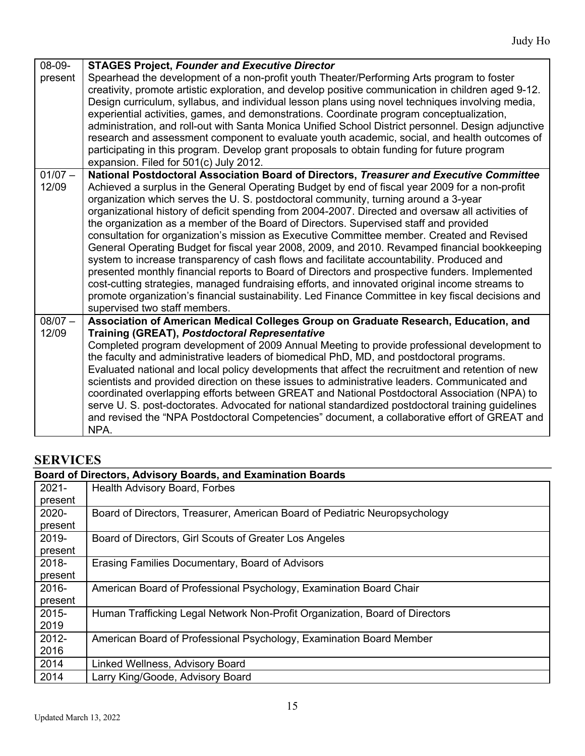| Spearhead the development of a non-profit youth Theater/Performing Arts program to foster<br>present<br>creativity, promote artistic exploration, and develop positive communication in children aged 9-12.<br>Design curriculum, syllabus, and individual lesson plans using novel techniques involving media,<br>experiential activities, games, and demonstrations. Coordinate program conceptualization,<br>administration, and roll-out with Santa Monica Unified School District personnel. Design adjunctive<br>research and assessment component to evaluate youth academic, social, and health outcomes of<br>participating in this program. Develop grant proposals to obtain funding for future program<br>expansion. Filed for 501(c) July 2012.<br>$01/07 -$<br>National Postdoctoral Association Board of Directors, Treasurer and Executive Committee<br>12/09<br>Achieved a surplus in the General Operating Budget by end of fiscal year 2009 for a non-profit<br>organization which serves the U.S. postdoctoral community, turning around a 3-year<br>organizational history of deficit spending from 2004-2007. Directed and oversaw all activities of<br>the organization as a member of the Board of Directors. Supervised staff and provided<br>consultation for organization's mission as Executive Committee member. Created and Revised<br>General Operating Budget for fiscal year 2008, 2009, and 2010. Revamped financial bookkeeping<br>system to increase transparency of cash flows and facilitate accountability. Produced and<br>presented monthly financial reports to Board of Directors and prospective funders. Implemented<br>cost-cutting strategies, managed fundraising efforts, and innovated original income streams to<br>promote organization's financial sustainability. Led Finance Committee in key fiscal decisions and<br>supervised two staff members.<br>$08/07 -$<br>Association of American Medical Colleges Group on Graduate Research, Education, and<br>12/09<br><b>Training (GREAT), Postdoctoral Representative</b><br>Completed program development of 2009 Annual Meeting to provide professional development to<br>the faculty and administrative leaders of biomedical PhD, MD, and postdoctoral programs.<br>Evaluated national and local policy developments that affect the recruitment and retention of new<br>scientists and provided direction on these issues to administrative leaders. Communicated and<br>coordinated overlapping efforts between GREAT and National Postdoctoral Association (NPA) to<br>serve U. S. post-doctorates. Advocated for national standardized postdoctoral training guidelines<br>and revised the "NPA Postdoctoral Competencies" document, a collaborative effort of GREAT and<br>NPA. | 08-09- | <b>STAGES Project, Founder and Executive Director</b> |
|------------------------------------------------------------------------------------------------------------------------------------------------------------------------------------------------------------------------------------------------------------------------------------------------------------------------------------------------------------------------------------------------------------------------------------------------------------------------------------------------------------------------------------------------------------------------------------------------------------------------------------------------------------------------------------------------------------------------------------------------------------------------------------------------------------------------------------------------------------------------------------------------------------------------------------------------------------------------------------------------------------------------------------------------------------------------------------------------------------------------------------------------------------------------------------------------------------------------------------------------------------------------------------------------------------------------------------------------------------------------------------------------------------------------------------------------------------------------------------------------------------------------------------------------------------------------------------------------------------------------------------------------------------------------------------------------------------------------------------------------------------------------------------------------------------------------------------------------------------------------------------------------------------------------------------------------------------------------------------------------------------------------------------------------------------------------------------------------------------------------------------------------------------------------------------------------------------------------------------------------------------------------------------------------------------------------------------------------------------------------------------------------------------------------------------------------------------------------------------------------------------------------------------------------------------------------------------------------------------------------------------------------------------------------------------------------------------------------------------------------------------------------------------------------|--------|-------------------------------------------------------|
|                                                                                                                                                                                                                                                                                                                                                                                                                                                                                                                                                                                                                                                                                                                                                                                                                                                                                                                                                                                                                                                                                                                                                                                                                                                                                                                                                                                                                                                                                                                                                                                                                                                                                                                                                                                                                                                                                                                                                                                                                                                                                                                                                                                                                                                                                                                                                                                                                                                                                                                                                                                                                                                                                                                                                                                                |        |                                                       |
|                                                                                                                                                                                                                                                                                                                                                                                                                                                                                                                                                                                                                                                                                                                                                                                                                                                                                                                                                                                                                                                                                                                                                                                                                                                                                                                                                                                                                                                                                                                                                                                                                                                                                                                                                                                                                                                                                                                                                                                                                                                                                                                                                                                                                                                                                                                                                                                                                                                                                                                                                                                                                                                                                                                                                                                                |        |                                                       |
|                                                                                                                                                                                                                                                                                                                                                                                                                                                                                                                                                                                                                                                                                                                                                                                                                                                                                                                                                                                                                                                                                                                                                                                                                                                                                                                                                                                                                                                                                                                                                                                                                                                                                                                                                                                                                                                                                                                                                                                                                                                                                                                                                                                                                                                                                                                                                                                                                                                                                                                                                                                                                                                                                                                                                                                                |        |                                                       |
|                                                                                                                                                                                                                                                                                                                                                                                                                                                                                                                                                                                                                                                                                                                                                                                                                                                                                                                                                                                                                                                                                                                                                                                                                                                                                                                                                                                                                                                                                                                                                                                                                                                                                                                                                                                                                                                                                                                                                                                                                                                                                                                                                                                                                                                                                                                                                                                                                                                                                                                                                                                                                                                                                                                                                                                                |        |                                                       |
|                                                                                                                                                                                                                                                                                                                                                                                                                                                                                                                                                                                                                                                                                                                                                                                                                                                                                                                                                                                                                                                                                                                                                                                                                                                                                                                                                                                                                                                                                                                                                                                                                                                                                                                                                                                                                                                                                                                                                                                                                                                                                                                                                                                                                                                                                                                                                                                                                                                                                                                                                                                                                                                                                                                                                                                                |        |                                                       |
|                                                                                                                                                                                                                                                                                                                                                                                                                                                                                                                                                                                                                                                                                                                                                                                                                                                                                                                                                                                                                                                                                                                                                                                                                                                                                                                                                                                                                                                                                                                                                                                                                                                                                                                                                                                                                                                                                                                                                                                                                                                                                                                                                                                                                                                                                                                                                                                                                                                                                                                                                                                                                                                                                                                                                                                                |        |                                                       |
|                                                                                                                                                                                                                                                                                                                                                                                                                                                                                                                                                                                                                                                                                                                                                                                                                                                                                                                                                                                                                                                                                                                                                                                                                                                                                                                                                                                                                                                                                                                                                                                                                                                                                                                                                                                                                                                                                                                                                                                                                                                                                                                                                                                                                                                                                                                                                                                                                                                                                                                                                                                                                                                                                                                                                                                                |        |                                                       |
|                                                                                                                                                                                                                                                                                                                                                                                                                                                                                                                                                                                                                                                                                                                                                                                                                                                                                                                                                                                                                                                                                                                                                                                                                                                                                                                                                                                                                                                                                                                                                                                                                                                                                                                                                                                                                                                                                                                                                                                                                                                                                                                                                                                                                                                                                                                                                                                                                                                                                                                                                                                                                                                                                                                                                                                                |        |                                                       |
|                                                                                                                                                                                                                                                                                                                                                                                                                                                                                                                                                                                                                                                                                                                                                                                                                                                                                                                                                                                                                                                                                                                                                                                                                                                                                                                                                                                                                                                                                                                                                                                                                                                                                                                                                                                                                                                                                                                                                                                                                                                                                                                                                                                                                                                                                                                                                                                                                                                                                                                                                                                                                                                                                                                                                                                                |        |                                                       |
|                                                                                                                                                                                                                                                                                                                                                                                                                                                                                                                                                                                                                                                                                                                                                                                                                                                                                                                                                                                                                                                                                                                                                                                                                                                                                                                                                                                                                                                                                                                                                                                                                                                                                                                                                                                                                                                                                                                                                                                                                                                                                                                                                                                                                                                                                                                                                                                                                                                                                                                                                                                                                                                                                                                                                                                                |        |                                                       |
|                                                                                                                                                                                                                                                                                                                                                                                                                                                                                                                                                                                                                                                                                                                                                                                                                                                                                                                                                                                                                                                                                                                                                                                                                                                                                                                                                                                                                                                                                                                                                                                                                                                                                                                                                                                                                                                                                                                                                                                                                                                                                                                                                                                                                                                                                                                                                                                                                                                                                                                                                                                                                                                                                                                                                                                                |        |                                                       |
|                                                                                                                                                                                                                                                                                                                                                                                                                                                                                                                                                                                                                                                                                                                                                                                                                                                                                                                                                                                                                                                                                                                                                                                                                                                                                                                                                                                                                                                                                                                                                                                                                                                                                                                                                                                                                                                                                                                                                                                                                                                                                                                                                                                                                                                                                                                                                                                                                                                                                                                                                                                                                                                                                                                                                                                                |        |                                                       |
|                                                                                                                                                                                                                                                                                                                                                                                                                                                                                                                                                                                                                                                                                                                                                                                                                                                                                                                                                                                                                                                                                                                                                                                                                                                                                                                                                                                                                                                                                                                                                                                                                                                                                                                                                                                                                                                                                                                                                                                                                                                                                                                                                                                                                                                                                                                                                                                                                                                                                                                                                                                                                                                                                                                                                                                                |        |                                                       |
|                                                                                                                                                                                                                                                                                                                                                                                                                                                                                                                                                                                                                                                                                                                                                                                                                                                                                                                                                                                                                                                                                                                                                                                                                                                                                                                                                                                                                                                                                                                                                                                                                                                                                                                                                                                                                                                                                                                                                                                                                                                                                                                                                                                                                                                                                                                                                                                                                                                                                                                                                                                                                                                                                                                                                                                                |        |                                                       |
|                                                                                                                                                                                                                                                                                                                                                                                                                                                                                                                                                                                                                                                                                                                                                                                                                                                                                                                                                                                                                                                                                                                                                                                                                                                                                                                                                                                                                                                                                                                                                                                                                                                                                                                                                                                                                                                                                                                                                                                                                                                                                                                                                                                                                                                                                                                                                                                                                                                                                                                                                                                                                                                                                                                                                                                                |        |                                                       |
|                                                                                                                                                                                                                                                                                                                                                                                                                                                                                                                                                                                                                                                                                                                                                                                                                                                                                                                                                                                                                                                                                                                                                                                                                                                                                                                                                                                                                                                                                                                                                                                                                                                                                                                                                                                                                                                                                                                                                                                                                                                                                                                                                                                                                                                                                                                                                                                                                                                                                                                                                                                                                                                                                                                                                                                                |        |                                                       |
|                                                                                                                                                                                                                                                                                                                                                                                                                                                                                                                                                                                                                                                                                                                                                                                                                                                                                                                                                                                                                                                                                                                                                                                                                                                                                                                                                                                                                                                                                                                                                                                                                                                                                                                                                                                                                                                                                                                                                                                                                                                                                                                                                                                                                                                                                                                                                                                                                                                                                                                                                                                                                                                                                                                                                                                                |        |                                                       |
|                                                                                                                                                                                                                                                                                                                                                                                                                                                                                                                                                                                                                                                                                                                                                                                                                                                                                                                                                                                                                                                                                                                                                                                                                                                                                                                                                                                                                                                                                                                                                                                                                                                                                                                                                                                                                                                                                                                                                                                                                                                                                                                                                                                                                                                                                                                                                                                                                                                                                                                                                                                                                                                                                                                                                                                                |        |                                                       |

## **SERVICES**

## **Board of Directors, Advisory Boards, and Examination Boards**

| $2021 -$ | <b>Health Advisory Board, Forbes</b>                                        |
|----------|-----------------------------------------------------------------------------|
| present  |                                                                             |
| 2020-    | Board of Directors, Treasurer, American Board of Pediatric Neuropsychology  |
| present  |                                                                             |
| 2019-    | Board of Directors, Girl Scouts of Greater Los Angeles                      |
| present  |                                                                             |
| 2018-    | Erasing Families Documentary, Board of Advisors                             |
| present  |                                                                             |
| 2016-    | American Board of Professional Psychology, Examination Board Chair          |
| present  |                                                                             |
| $2015 -$ | Human Trafficking Legal Network Non-Profit Organization, Board of Directors |
| 2019     |                                                                             |
| $2012 -$ | American Board of Professional Psychology, Examination Board Member         |
| 2016     |                                                                             |
| 2014     | Linked Wellness, Advisory Board                                             |
| 2014     | Larry King/Goode, Advisory Board                                            |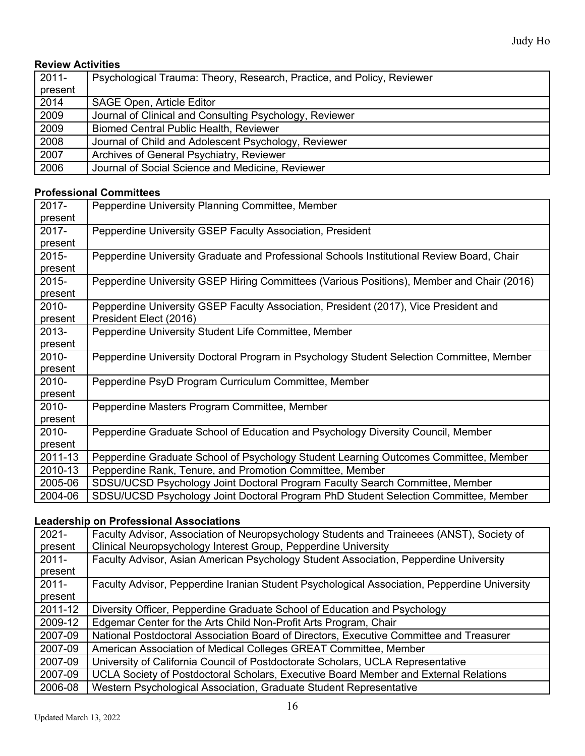#### **Review Activities**

| $2011 -$ | Psychological Trauma: Theory, Research, Practice, and Policy, Reviewer |
|----------|------------------------------------------------------------------------|
| present  |                                                                        |
| 2014     | <b>SAGE Open, Article Editor</b>                                       |
| 2009     | Journal of Clinical and Consulting Psychology, Reviewer                |
| 2009     | <b>Biomed Central Public Health, Reviewer</b>                          |
| 2008     | Journal of Child and Adolescent Psychology, Reviewer                   |
| 2007     | Archives of General Psychiatry, Reviewer                               |
| 2006     | Journal of Social Science and Medicine, Reviewer                       |

## **Professional Committees**

| $2017 -$ | Pepperdine University Planning Committee, Member                                          |
|----------|-------------------------------------------------------------------------------------------|
| present  |                                                                                           |
| 2017-    | Pepperdine University GSEP Faculty Association, President                                 |
| present  |                                                                                           |
| 2015-    | Pepperdine University Graduate and Professional Schools Institutional Review Board, Chair |
| present  |                                                                                           |
| 2015-    | Pepperdine University GSEP Hiring Committees (Various Positions), Member and Chair (2016) |
| present  |                                                                                           |
| 2010-    | Pepperdine University GSEP Faculty Association, President (2017), Vice President and      |
| present  | President Elect (2016)                                                                    |
| 2013-    | Pepperdine University Student Life Committee, Member                                      |
| present  |                                                                                           |
| $2010 -$ | Pepperdine University Doctoral Program in Psychology Student Selection Committee, Member  |
| present  |                                                                                           |
| $2010 -$ | Pepperdine PsyD Program Curriculum Committee, Member                                      |
| present  |                                                                                           |
| 2010-    | Pepperdine Masters Program Committee, Member                                              |
| present  |                                                                                           |
| 2010-    | Pepperdine Graduate School of Education and Psychology Diversity Council, Member          |
| present  |                                                                                           |
| 2011-13  | Pepperdine Graduate School of Psychology Student Learning Outcomes Committee, Member      |
| 2010-13  | Pepperdine Rank, Tenure, and Promotion Committee, Member                                  |
| 2005-06  | SDSU/UCSD Psychology Joint Doctoral Program Faculty Search Committee, Member              |
| 2004-06  | SDSU/UCSD Psychology Joint Doctoral Program PhD Student Selection Committee, Member       |

### **Leadership on Professional Associations**

| $2021 -$ | Faculty Advisor, Association of Neuropsychology Students and Traineees (ANST), Society of    |
|----------|----------------------------------------------------------------------------------------------|
| present  | Clinical Neuropsychology Interest Group, Pepperdine University                               |
| $2011 -$ | Faculty Advisor, Asian American Psychology Student Association, Pepperdine University        |
| present  |                                                                                              |
| $2011 -$ | Faculty Advisor, Pepperdine Iranian Student Psychological Association, Pepperdine University |
| present  |                                                                                              |
| 2011-12  | Diversity Officer, Pepperdine Graduate School of Education and Psychology                    |
| 2009-12  | Edgemar Center for the Arts Child Non-Profit Arts Program, Chair                             |
| 2007-09  | National Postdoctoral Association Board of Directors, Executive Committee and Treasurer      |
| 2007-09  | American Association of Medical Colleges GREAT Committee, Member                             |
| 2007-09  | University of California Council of Postdoctorate Scholars, UCLA Representative              |
| 2007-09  | UCLA Society of Postdoctoral Scholars, Executive Board Member and External Relations         |
| 2006-08  | Western Psychological Association, Graduate Student Representative                           |